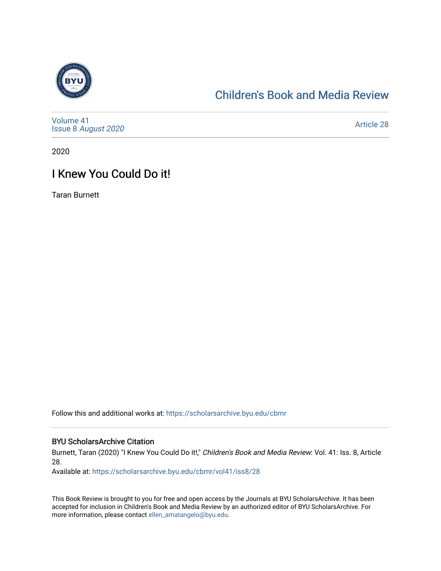

# [Children's Book and Media Review](https://scholarsarchive.byu.edu/cbmr)

[Volume 41](https://scholarsarchive.byu.edu/cbmr/vol41) Issue 8 [August 2020](https://scholarsarchive.byu.edu/cbmr/vol41/iss8) 

[Article 28](https://scholarsarchive.byu.edu/cbmr/vol41/iss8/28) 

2020

# I Knew You Could Do it!

Taran Burnett

Follow this and additional works at: [https://scholarsarchive.byu.edu/cbmr](https://scholarsarchive.byu.edu/cbmr?utm_source=scholarsarchive.byu.edu%2Fcbmr%2Fvol41%2Fiss8%2F28&utm_medium=PDF&utm_campaign=PDFCoverPages) 

#### BYU ScholarsArchive Citation

Burnett, Taran (2020) "I Knew You Could Do it!," Children's Book and Media Review: Vol. 41: Iss. 8, Article 28.

Available at: [https://scholarsarchive.byu.edu/cbmr/vol41/iss8/28](https://scholarsarchive.byu.edu/cbmr/vol41/iss8/28?utm_source=scholarsarchive.byu.edu%2Fcbmr%2Fvol41%2Fiss8%2F28&utm_medium=PDF&utm_campaign=PDFCoverPages)

This Book Review is brought to you for free and open access by the Journals at BYU ScholarsArchive. It has been accepted for inclusion in Children's Book and Media Review by an authorized editor of BYU ScholarsArchive. For more information, please contact [ellen\\_amatangelo@byu.edu.](mailto:ellen_amatangelo@byu.edu)